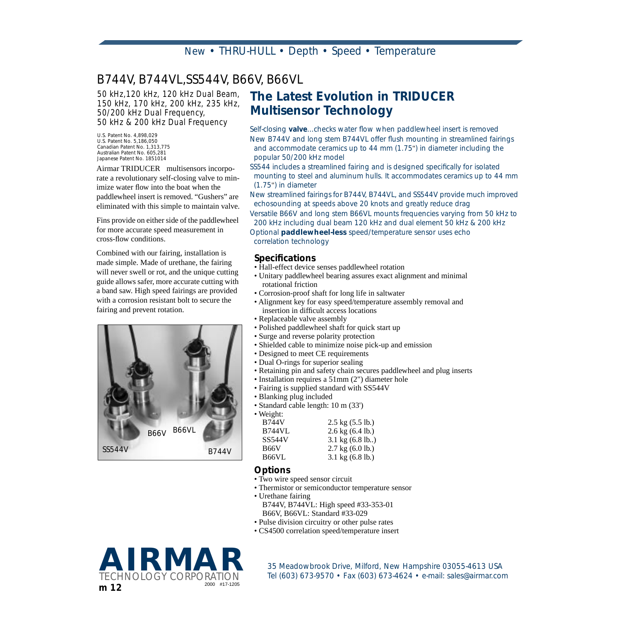# *B744V, B744VL,SS544V, B66V, B66VL*

*50 kHz,120 kHz, 120 kHz Dual Beam, 150 kHz, 170 kHz, 200 kHz, 235 kHz, 50/200 kHz Dual Frequency, 50 kHz & 200 kHz Dual Frequency*

*U.S. Patent No. 4,898,029 U.S. Patent No. 5,186,050 Canadian Patent No. 1,313,775 Australian Patent No. 605,281 Japanese Patent No. 1851014*

Airmar TRIDUCER<sup>®</sup> multisensors incorporate a revolutionary self-closing valve to minimize water flow into the boat when the paddlewheel insert is removed. "Gushers" are eliminated with this simple to maintain valve.

Fins provide on either side of the paddlewheel for more accurate speed measurement in cross-flow conditions.

Combined with our fairing, installation is made simple. Made of urethane, the fairing will never swell or rot, and the unique cutting guide allows safer, more accurate cutting with a band saw. High speed fairings are provided with a corrosion resistant bolt to secure the fairing and prevent rotation.



# *The Latest Evolution in TRIDUCER Multisensor Technology*

*Self-closing valve...checks water flow when paddlewheel insert is removed New B744V and long stem B744VL offer flush mounting in streamlined fairings and accommodate ceramics up to 44 mm (1.75*"*) in diameter including the popular 50/200 kHz model*

*SS544 includes a streamlined fairing and is designed specifically for isolated mounting to steel and aluminum hulls. It accommodates ceramics up to 44 mm (1.75*"*) in diameter*

*New streamlined fairings for B744V, B744VL, and SS544V provide much improved echosounding at speeds above 20 knots and greatly reduce drag*

*Versatile B66V and long stem B66VL mounts frequencies varying from 50 kHz to 200 kHz including dual beam 120 kHz and dual element 50 kHz & 200 kHz*

*Optional paddlewheel-less speed/temperature sensor uses echo correlation technology*

#### *Specifications*

- Hall-effect device senses paddlewheel rotation
- Unitary paddlewheel bearing assures exact alignment and minimal rotational friction
- Corrosion-proof shaft for long life in saltwater
- Alignment key for easy speed/temperature assembly removal and insertion in difficult access locations
- Replaceable valve assembly
- Polished paddlewheel shaft for quick start up
- Surge and reverse polarity protection
- Shielded cable to minimize noise pick-up and emission
- Designed to meet CE requirements
- Dual O-rings for superior sealing
- Retaining pin and safety chain secures paddlewheel and plug inserts
- Installation requires a 51mm (2") diameter hole
- Fairing is supplied standard with SS544V
- Blanking plug included
- Standard cable length: 10 m (33')
- Weight:

| <b>B744V</b> | $2.5 \text{ kg} (5.5 \text{ lb.})$ |
|--------------|------------------------------------|
| B744VL       | $2.6$ kg $(6.4$ lb.)               |
| SS544V       | $3.1 \text{ kg} (6.8 \text{ lb.})$ |
| B66V         | $2.7 \text{ kg} (6.0 \text{ lb.})$ |
| B66VL        | $3.1 \text{ kg} (6.8 \text{ lb.})$ |
|              |                                    |

### *Options*

- Two wire speed sensor circuit
- Thermistor or semiconductor temperature sensor
- Urethane fairing
	- B744V, B744VL: High speed #33-353-01 B66V, B66VL: Standard #33-029
- Pulse division circuitry or other pulse rates
- CS4500 correlation speed/temperature insert



*TECHNOLOGY Fel (603) 673-9570 • Fax (603) 673-4624 • e-mail: sales@airmar.com*<br>2000 #17-1205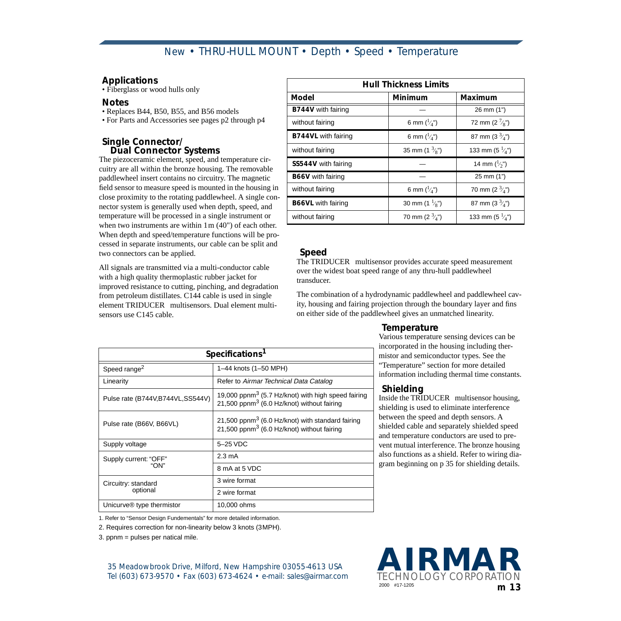### *Applications*

• Fiberglass or wood hulls only

#### *Notes*

- Replaces B44, B50, B55, and B56 models
- For Parts and Accessories see pages p2 through p4

#### *Single Connector/ Dual Connector Systems*

The piezoceramic element, speed, and temperature circuitry are all within the bronze housing. The removable paddlewheel insert contains no circuitry. The magnetic field sensor to measure speed is mounted in the housing in close proximity to the rotating paddlewheel. A single connector system is generally used when depth, speed, and temperature will be processed in a single instrument or when two instruments are within 1 m  $(40)$  of each other. When depth and speed/temperature functions will be processed in separate instruments, our cable can be split and two connectors can be applied.

All signals are transmitted via a multi-conductor cable with a high quality thermoplastic rubber jacket for improved resistance to cutting, pinching, and degradation from petroleum distillates. C144 cable is used in single element TRIDUCER<sup>®</sup> multisensors. Dual element multisensors use C145 cable.

| <b>Hull Thickness Limits</b> |                                                     |                            |  |  |  |  |
|------------------------------|-----------------------------------------------------|----------------------------|--|--|--|--|
| Model                        | Minimum                                             | Maximum                    |  |  |  |  |
| B744V with fairing           |                                                     | 26 mm (1")                 |  |  |  |  |
| without fairing              | 6 mm $\binom{1}{4}$ ")                              | 72 mm (2 $\frac{7}{8}$ ")  |  |  |  |  |
| <b>B744VL</b> with fairing   | 87 mm (3 $\frac{3}{4}$ ")<br>6 mm $\binom{1}{4}$ ") |                            |  |  |  |  |
| without fairing              | 35 mm (1 $\frac{3}{8}$ ")                           | 133 mm (5 $\frac{1}{4}$ ") |  |  |  |  |
| SS544V with fairing          |                                                     | 14 mm $\binom{1}{2}$ ")    |  |  |  |  |
| <b>B66V</b> with fairing     |                                                     | 25 mm (1")                 |  |  |  |  |
| without fairing              | 6 mm $\binom{1}{4}$ ")                              | 70 mm (2 $\frac{3}{4}$ ")  |  |  |  |  |
| <b>B66VL</b> with fairing    | 30 mm $(1 \frac{1}{8})$                             | 87 mm (3 $\frac{3}{4}$ ")  |  |  |  |  |
| without fairing              | 70 mm (2 $\frac{3}{4}$ ")                           | 133 mm (5 $\frac{1}{4}$ ") |  |  |  |  |

### *Speed*

The TRIDUCER<sup>®</sup> multisensor provides accurate speed measurement over the widest boat speed range of any thru-hull paddlewheel transducer.

The combination of a hydrodynamic paddlewheel and paddlewheel cavity, housing and fairing projection through the boundary layer and fins on either side of the paddlewheel gives an unmatched linearity.

#### *Temperature*

Various temperature sensing devices can be incorporated in the housing including thermistor and semiconductor types. See the "Temperature" section for more detailed information including thermal time constants.

#### *Shielding*

Inside the TRIDUCER<sup>®</sup> multisensor housing, shielding is used to eliminate interference between the speed and depth sensors. A shielded cable and separately shielded speed and temperature conductors are used to prevent mutual interference. The bronze housing also functions as a shield. Refer to wiring diagram beginning on p 35 for shielding details.

| Specifications <sup>1</sup>           |                                                                                                                          |  |  |  |  |
|---------------------------------------|--------------------------------------------------------------------------------------------------------------------------|--|--|--|--|
| Speed range <sup>2</sup>              | 1-44 knots (1-50 MPH)                                                                                                    |  |  |  |  |
| Linearity                             | Refer to Airmar Technical Data Catalog                                                                                   |  |  |  |  |
| Pulse rate (B744V, B744VL, SS544V)    | 19,000 ppnm <sup>3</sup> (5.7 Hz/knot) with high speed fairing<br>21,500 ppnm <sup>3</sup> (6.0 Hz/knot) without fairing |  |  |  |  |
| Pulse rate (B66V, B66VL)              | 21,500 ppnm <sup>3</sup> (6.0 Hz/knot) with standard fairing<br>21,500 ppnm <sup>3</sup> (6.0 Hz/knot) without fairing   |  |  |  |  |
| Supply voltage                        | 5-25 VDC                                                                                                                 |  |  |  |  |
| Supply current: "OFF"                 | $2.3 \text{ mA}$                                                                                                         |  |  |  |  |
| "ON"                                  | 8 mA at 5 VDC                                                                                                            |  |  |  |  |
| Circuitry: standard                   | 3 wire format                                                                                                            |  |  |  |  |
| optional                              | 2 wire format                                                                                                            |  |  |  |  |
| Unicurve <sup>®</sup> type thermistor | 10,000 ohms                                                                                                              |  |  |  |  |

1. Refer to "Sensor Design Fundementals" for more detailed information.

2. Requires correction for non-linearity below 3 knots (3MPH).

3. ppnm = pulses per natical mile.

*Tel (603) 673-9570 • Fax (603) 673-4624 • e-mail: sales@airmar.com 35 Meadowbrook Drive, Milford, New Hampshire 03055-4613 USA*

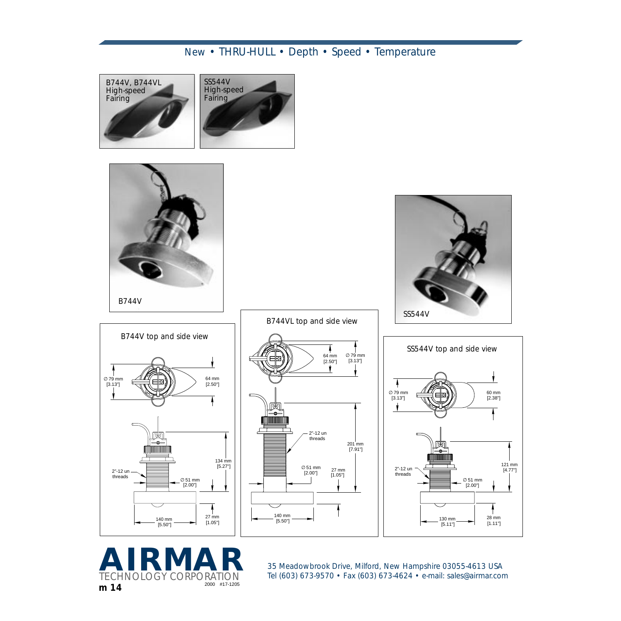













**18 Meadowbrook Drive, Milford, New Hampshire 03055-4613 USA<br>
TECHNOLOGY CORPORATION Tel (603) 673-9570 • Fax (603) 673-4624 • e-mail: sales@airmar.cor** *TECHNOLOGY Tel (603) 673-9570 • Fax (603) 673-4624 • e-mail: sales@airmar.com<br><sup>2000</sup> #17-1205*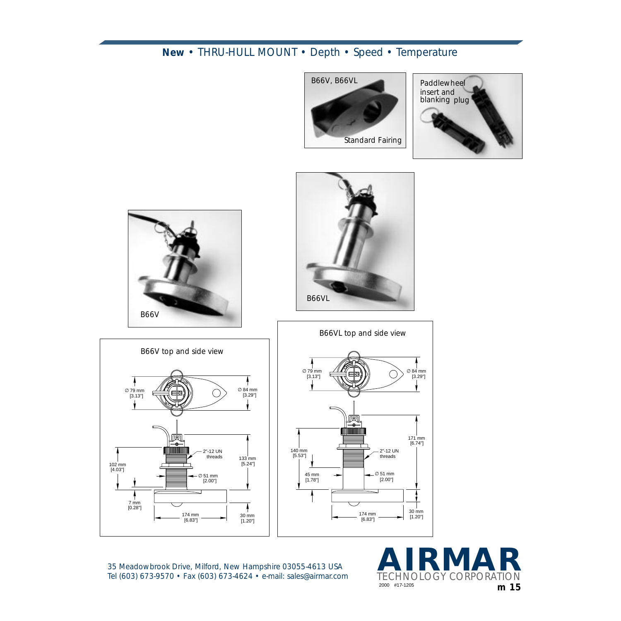











*35 Meadowbrook Drive, Milford, New Hampshire 03055-4613 USA Tel (603) 673-9570 • Fax (603) 673-4624 • e-mail: sales@airmar.com*

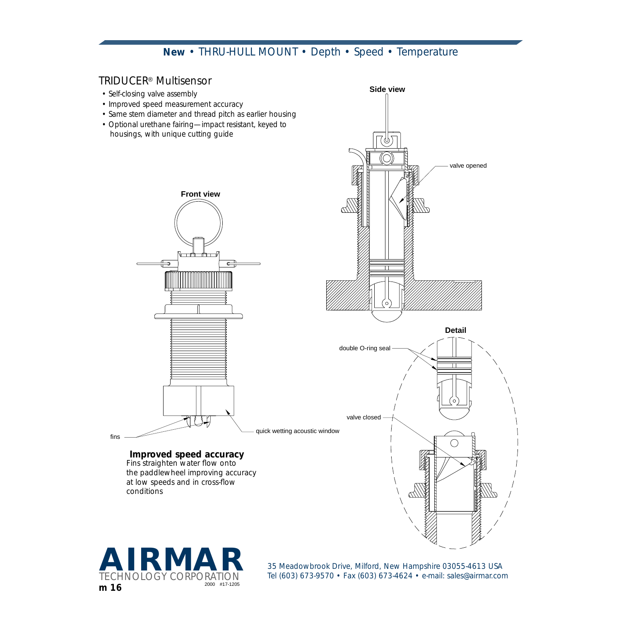### *TRIDUCER*® *Multisensor*

- *Self-closing valve assembly*
- *Improved speed measurement accuracy*
- *Same stem diameter and thread pitch as earlier housing*
- *Optional urethane fairing—impact resistant, keyed to housings, with unique cutting guide*







*conditions*

*Fins straighten water flow onto the paddlewheel improving accuracy at low speeds and in cross-flow* 

*TECHN Tel (603) 673-9570* • Fax (603) 673-4624 • e-mail: sales@airmar.com<br><sup>2000</sup> #17-1205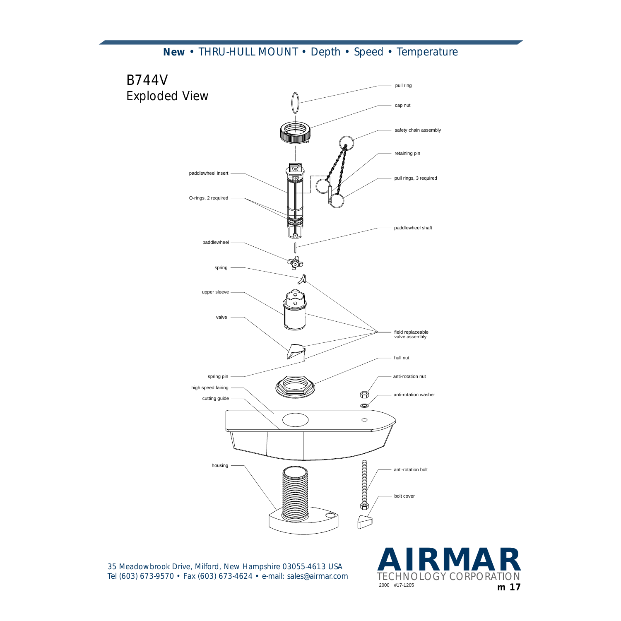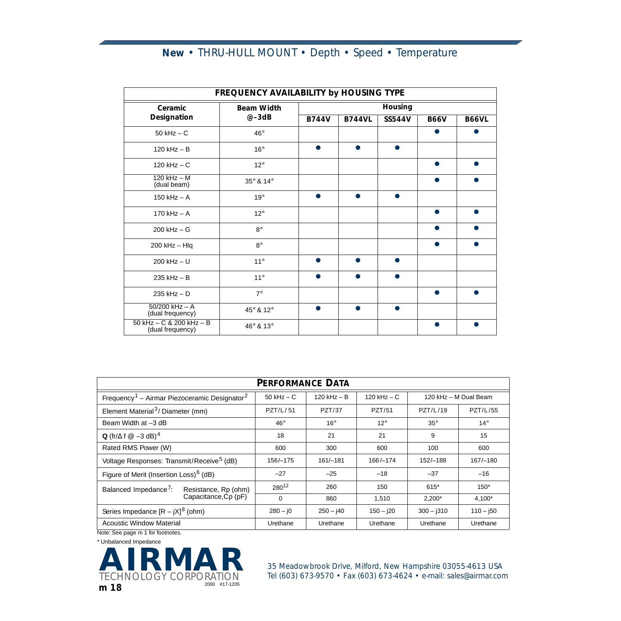| FREQUENCY AVAILABILITY by HOUSING TYPE           |                   |              |               |               |             |              |  |  |
|--------------------------------------------------|-------------------|--------------|---------------|---------------|-------------|--------------|--|--|
| Ceramic                                          | <b>Beam Width</b> | Housing      |               |               |             |              |  |  |
| Designation                                      | $@ - 3dB$         | <b>B744V</b> | <b>B744VL</b> | <b>SS544V</b> | <b>B66V</b> | <b>B66VL</b> |  |  |
| $50$ kHz $-$ C                                   | $46^{\circ}$      |              |               |               |             |              |  |  |
| $120$ kHz $-$ B                                  | $16^{\circ}$      |              |               |               |             |              |  |  |
| $120$ kHz $-$ C                                  | $12^{\circ}$      |              |               |               |             |              |  |  |
| $120$ kHz $-$ M<br>(dual beam)                   | 35° & 14°         |              |               |               |             |              |  |  |
| $150$ kHz $-$ A                                  | $19^\circ$        |              |               |               |             |              |  |  |
| 170 $kHz - A$                                    | $12^{\circ}$      |              |               |               |             |              |  |  |
| $200$ kHz $-$ G                                  | $8^\circ$         |              |               |               |             |              |  |  |
| $200$ kHz $-$ Hlq                                | $8^\circ$         |              |               |               |             |              |  |  |
| $200$ kHz $- U$                                  | $11^\circ$        |              |               |               |             |              |  |  |
| $235$ kHz $- B$                                  | $11^\circ$        |              |               |               |             |              |  |  |
| $235$ kHz $-$ D                                  | $7^\circ$         |              |               |               |             |              |  |  |
| $50/200$ kHz $-$ A<br>(dual frequency)           | 45° & 12°         |              |               |               |             |              |  |  |
| 50 kHz $- C 8 200$ kHz $- B$<br>(dual frequency) | 46° & 13°         |              |               |               |             |              |  |  |

| <b>PERFORMANCE DATA</b>                                              |                   |              |               |                       |                 |  |  |  |
|----------------------------------------------------------------------|-------------------|--------------|---------------|-----------------------|-----------------|--|--|--|
| Frequency <sup>1</sup> - Airmar Piezoceramic Designator <sup>2</sup> | $50$ kHz $- C$    | 120 kHz - B  | 120 kHz $-$ C | 120 kHz - M Dual Beam |                 |  |  |  |
| Element Material <sup>3</sup> / Diameter (mm)                        | PZT/L/51          | PZT/37       | PZT/51        | PZT/L/19              | <b>PZT/L/55</b> |  |  |  |
| Beam Width at -3 dB                                                  | $46^{\circ}$      | $16^{\circ}$ | $12^{\circ}$  | $35^\circ$            | $14^{\circ}$    |  |  |  |
| Q (fr/ $\Delta$ f $\textcircled{a}$ -3 dB) <sup>4</sup>              | 18                | 21           | 21            | 9                     | 15              |  |  |  |
| Rated RMS Power (W)                                                  | 600               | 300          | 600           | 100                   | 600             |  |  |  |
| Voltage Responses: Transmit/Receive <sup>5</sup> (dB)                | 156/-175          | $161/-181$   | $166 / - 174$ | 152/-188              | $167/-180$      |  |  |  |
| Figure of Merit (Insertion Loss) <sup>6</sup> (dB)                   | $-27$             | $-25$        | $-18$         | $-37$                 | $-16$           |  |  |  |
| Balanced Impedance <sup>7</sup> :<br>Resistance, Rp (ohm)            | 280 <sup>12</sup> | 260          | 150           | 615*                  | $150*$          |  |  |  |
| Capacitance, Cp (pF)                                                 | $\Omega$          | 860          | 1,510         | $2,200*$              | $4,100*$        |  |  |  |
| Series Impedance $[R - jX]^8$ (ohm)                                  | $280 - 10$        | $250 - 140$  | $150 - 120$   | $300 - j310$          | $110 - 150$     |  |  |  |
| Acoustic Window Material                                             | Urethane          | Urethane     | Urethane      | Urethane              | Urethane        |  |  |  |

Note: See page m 1 for footnotes.

\* Unbalanced Impedance



**28 ARRETA BELGIN DESCRIPTION AND AND AN AIRCREDIG MEAN OF THE CHINOLOGY CORPORATION** Tel (603) 673-9570 • Fax (603) 673-4624 • e-mail: sales@airmar.com *Tel (603) 673-9570* • Fax (603) 673-4624 • e-mail: sales@airmar.com<br><sup>2000</sup> #17-1205